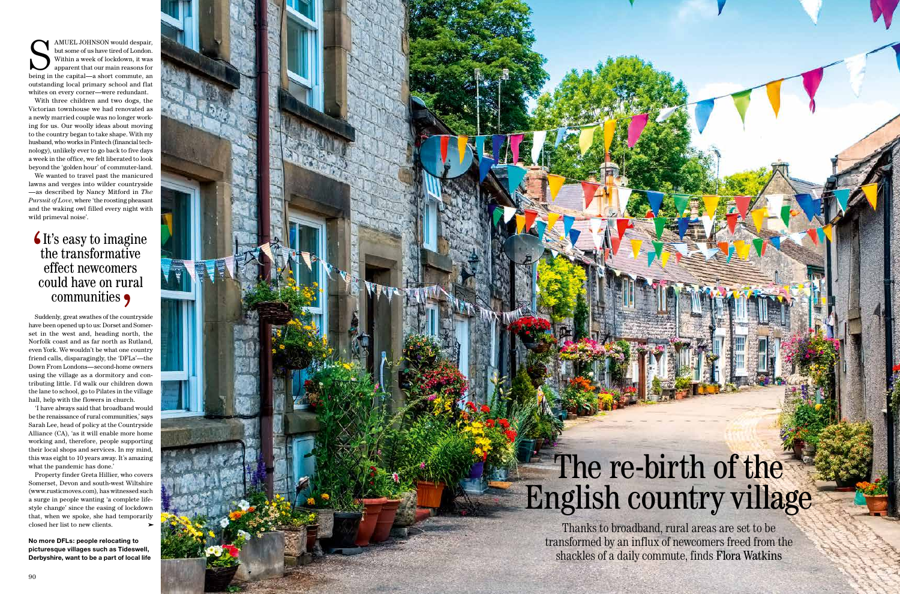## The re-birth of the English country village

S AMUEL JOHNSON would despair,<br>but some of us have tired of London.<br>Within a week of lockdown, it was<br>apparent that our main reasons for<br>being in the capital—a short commute, an but some of us have tired of London. Within a week of lockdown, it was apparent that our main reasons for outstanding local primary school and flat whites on every corner—were redundant.

With three children and two dogs, the Victorian townhouse we had renovated as a newly married couple was no longer work ing for us. Our woolly ideas about moving to the country began to take shape. With my husband, who works in Fintech (financial technology), unlikely ever to go back to five days a week in the office, we felt liberated to look beyond the 'golden hour' of commuter-land.

We wanted to travel past the manicured lawns and verges into wilder countryside —as described by Nancy Mitford in *The Pursuit of Love*, where 'the roosting pheasant and the waking owl filled every night with wild primeval noise'.

closed her list to new clients. **Thanks to broadband**, rural areas are set to be transformed by an influx of newcomers freed from the shackles of a daily commute, finds Flora Watkins

## **It's easy to imagine** the transformative effect newcomers could have on rural communities

Suddenly, great swathes of the countryside have been opened up to us: Dorset and Somerset in the west and, heading north, the Norfolk coast and as far north as Rutland, even York. We wouldn't be what one country friend calls, disparagingly, the 'DFLs'—the Down From Londons—second-home owners using the village as a dormitory and con tributing little. I'd walk our children down the lane to school, go to Pilates in the village hall, help with the flowers in church.

'I have always said that broadband would be the renaissance of rural communities,' says Sarah Lee, head of policy at the Countryside Alliance (CA), 'as it will enable more home working and, therefore, people supporting their local shops and services. In my mind, this was eight to 10 years away. It's amazing what the pandemic has done.'

Property finder Greta Hillier, who covers Somerset, Devon and south-west Wiltshire (www.rusticmoves.com), has witnessed such a surge in people wanting 'a complete life style change' since the easing of lockdown that, when we spoke, she had temporarily

**No more DFLs: people relocating to picturesque villages such as Tideswell, Derbyshire, want to be a part of local life**